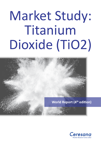# Market Study: Titanium Dioxide (TiO2)



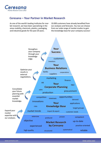

## **Ceresana – Your Partner in Market Research**

As one of the world's leading institutes for market research, we have been specializing in the areas mobility, chemicals, plastics, packaging, and industrial goods for the past 20 years.

10.000 customers have already benefited from our analyses and forecasts. You too can choose from our wide range of market studies to gain the knowledge base for your company success!

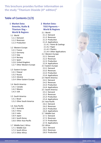**This brochure provides further information on the study "Titanium Dioxide (4th edition)"**

## **Table of Contents (1/2)**

**1 Market Data: Ilmenite, Rutile & Titanium Slag – World & Regions** 1.1 World 1.1.1 Demand 1.1.2 Revenues 1.1.3 Production 1.2 Western Europe 1.2.1 France 1.2.2 Germany 1.2.3 Italy 1.2.4 Norway 1.2.5 Spain 1.2.6 United Kingdom 1.2.7 Other Western Europe 1.3 Eastern Europe 1.3.1 Poland 1.3.2 Russia 1.3.3 Ukraine 1.3.4 Other Eastern Europe 1.4 North America 1.4.1 Canada 1.4.2 Mexico 1.4.3 USA 1.5 South America 1.5.1 Brasil 1.5.2 Other South America 1.6 Asia-Pacific 1.6.1 Australia 1.6.2 China 1.6.3 India 1.6.4 Japan 1.6.5 South Korea 1.6.6 Other Asia-Pacific 1.7 Middle East / Africa 1.7.1 Middle East 1.7.2 South Africa 1.7.3 Other Africa

## **2 Market Data: TiO2 Pigments – World & Regions**

2.1 World 2.1.1 Demand 2.1.2 Revenues 2.1.3 Production 2.1.4 Applications 2.1.4.1 Paints & Coatings 2.1.4.2 Paper 2.1.4.3 Plastics 2.1.4.4 Other Applications 2.2 Western Europe 2.2.1 Demand 2.2.2 Revenues 2.2.3 Production 2.2.4 Applications 2.3 Eastern Europe 2.3.1 Demand 2.3.2 Revenues 2.3.3 Production 2.3.4 Applications 2.4 North America 2.4.1 Demand 2.4.2 Revenues 2.4.3 Production 2.4.4 Applications 2.5 South America 2.5.1 Demand 2.5.2 Revenues 2.5.3 Production 2.5.4 Applications 2.6 Asia-Pacific 2.6.1 Demand 2.6.2 Revenues 2.6.3 Production 2.6.4 Applications 2.7 Middle East 2.7.1 Demand 2.7.2 Revenues 2.7.3 Production 2.7.4 Applications 2.8 Africa 2.8.1 Demand 2.8.2 Revenues 2.8.3 Production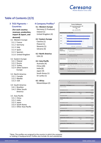

## **Table of Contents (2/2)**

#### **3 TiO2 Pigments – Countries**

**(For each country: revenues, production, import & export, and demand)**

- 3.1 Western Europe 3.1.1 France
- 3.1.2 Germany
- 3.1.3 Italy
- 3.1.4 Spain
- 
- 3.1.5 Spanien
- 3.1.6 United Kingdom

#### 3.2 Eastern Europe

3.2.1 Poland 3.2.2 Russia 3.2.3 Turkey 3.2.4 Other Eastern

Europe

- 3.3 North America 3.3.1 Canada 3.3.2 Mexiko
- 3.3.3 USA
- 3.4 South America
- 3.4.1 Brasilien
- 3.4.2 Other South America

#### 3.5 Asia-Pacific

- 3.5.1 China
- 3.5.2 India
- 3.5.3 Japan
- 3.5.4 South Korea
- 3.5.5 Other Asia-Pacific

#### **[4 Company Profiles\\*](https://www.ceresana.com/en/market-studies/ceresana-order-reading-samples.html)**

#### **4.1 Western Europe**

Germany (1 Producer) Ireland (1) United Kingdom (4)

#### **4.2 Eastern Europe**

Czechia (1) Poland (1) Slovenia (1) Ukraine (4)

#### **4.3 North America**  USA (3)

#### **4.4 Asia-Pacific**

Australia (4) China (20) India (6) Japan (4) South Korea (1) Sri Lanka (1)

#### **4.5 Africa**

Mozambique (2)



| <b>XXX</b><br>Tronox has xx% and xxx xx% interest in the operation site |                        |                        |  |  |  |  |  |  |
|-------------------------------------------------------------------------|------------------------|------------------------|--|--|--|--|--|--|
| <b>Production Site - TiO2 Pigment (current)</b>                         | Capacity (tonnes/year) |                        |  |  |  |  |  |  |
| Kwinana, Australia                                                      |                        | xxx.000                |  |  |  |  |  |  |
| $\ddotsc$                                                               |                        | $\ddotsc$              |  |  |  |  |  |  |
| <b>Total Capacity (current)</b>                                         |                        | xxx,000                |  |  |  |  |  |  |
| Production Site - TiO2 Pigment (planned)                                | Start-Up               | Capacity (tonnes/year) |  |  |  |  |  |  |
| <b>XXX</b>                                                              | 2024                   | $+xx.000$              |  |  |  |  |  |  |
| Total Capacity (2024)                                                   |                        | xxx,000                |  |  |  |  |  |  |
| <b>Production Site - Rutile (current)</b>                               |                        | Capacity (tonnes/year) |  |  |  |  |  |  |
| Australia                                                               |                        | xxx,000                |  |  |  |  |  |  |
|                                                                         |                        |                        |  |  |  |  |  |  |
| <b>Total Capacity (current)</b>                                         |                        | xxx,700                |  |  |  |  |  |  |
| Production Site - Rutile (planned)                                      | Start-Up               | Capacity (tonnes/year) |  |  |  |  |  |  |
| <b>XXX</b>                                                              | 2023                   | xx,000                 |  |  |  |  |  |  |
| Total Capacity (2023)                                                   |                        | xxx,700                |  |  |  |  |  |  |
| <b>Production Site - Ilmenite (current)</b>                             |                        | Capacity (tonnes/year) |  |  |  |  |  |  |
| <b>XXX</b>                                                              |                        | xxx,000                |  |  |  |  |  |  |
| $\ddotsc$                                                               |                        |                        |  |  |  |  |  |  |
| <b>Total Capacity (current)</b>                                         |                        | xxx,000                |  |  |  |  |  |  |
| Production Site - Ilmenite (planned)                                    | Start-Up               | Capacity (tonnes/year) |  |  |  |  |  |  |
| <b>XXX</b>                                                              | 2023                   | xxx,000                |  |  |  |  |  |  |
| Total Capacity (2023)                                                   |                        | xxx,000                |  |  |  |  |  |  |
| <b>Production Site - Titanium Slag (current)</b>                        |                        | Capacity (tonnes/year) |  |  |  |  |  |  |
| <b>XXX</b>                                                              |                        | xxx.800                |  |  |  |  |  |  |
| $\ddotsc$                                                               |                        | ä.                     |  |  |  |  |  |  |
| <b>Total Capacity (current)</b>                                         |                        | xxx,400                |  |  |  |  |  |  |
|                                                                         |                        |                        |  |  |  |  |  |  |

÷

\*Note: The profiles are assigned to the country in which the company or holding is headquartered. Profiles also include JVs and subsidiaries.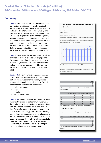## **Market Study: "Titanium Dioxide (4th edition)" 16 Countries, 54 Producers, 300 Pages, 78 Graphs, 205 Tables, 04/2022**

### **Summary**

**Chapter 1** offers an analysis of the world market for titanium dioxide raw materials: ranging from the naturally occurring source materials ilmenite and rutile, the intermediates titanium slag and synthetic rutile, to their respective areas of application. This chapter offers information regarding revenues, demand, and production according to each product type. Additionally, demand for raw materials is divided into the areas pigment production, other applications, and those quantities that are further refined into intermediate products such as titanium slag and synthetic rutile.

**Chapter 2** examines the most important application area of titanium dioxide: white pigments. Current data regarding the global development of revenues, demand, individual sales markets, and production are supplemented by forecasts for the titanium dioxide market up to the year 2030.

**Chapter 3** offers information regarding the markets for titanium dioxide in the 16 most important countries. In addition to import, export, supply and demand, the application of TiO2 pigments in each sales market is analyzed:

- Paints and coatings
- Paper•
- Plastics•
- Other applications

**Chapter 4** contains company profiles of the most important titanium dioxide manufacturers, i.e., the producers of titanium dioxide pigments, ilmenite, natural and synthetic rutile, and titanium slag. The useful index is structured according to contact data, revenues, profits, product palette, production sites, capacities, and a brief company profile. Detailed profiles are offered for 54 manufacturers, such as Group DF, Iluka Resources Ltd., Kenmare Resources plc, Kronos Worldwide Inc., The Chemours Company, Tronox Holdings plc, TiZir Limited und Venator Materials PLC.

#### **Market Data: Titanium Dioxide Pigments Countries**

- **3.1 Western Europe**
- **3.1.2** Germany

#### **3.1.2.1 Demand and Revenue**

Demand for pigments in Germany amounted to X tonnes in 2020. We expect demand to increase by an average growth rate of X% p.a. and to reach about X tonnes in 2030. Revenues generated with pigments amounted to about EUR X million in 2020. We expect an average increase of X% per year until 2030.



Graph: Demand for pigments in Germany from 2018 to 2030

In 2020, the application area paints and coatings accounted for the largest share of total demand for pigments. Demand in the area plastics is likely to develop the most dynamically at a rate of X% p.a.

| <b>Revenues</b>                                                                                                                                                                                    | 2018         | 2019             |                  | 2020 2021p 2022p 2023p 2024p 2025p 2030p |              |              |              |              |              | 2020-<br>2030     |
|----------------------------------------------------------------------------------------------------------------------------------------------------------------------------------------------------|--------------|------------------|------------------|------------------------------------------|--------------|--------------|--------------|--------------|--------------|-------------------|
| million USD                                                                                                                                                                                        | X            | X                | X                | X                                        | X            | X            | X            | X            | X            | X%<br>p.a.        |
| million EUR                                                                                                                                                                                        | X            | X                | $\mathbf{x}$     | $\mathsf{x}$                             | $\mathsf{x}$ | X            | $\mathsf{x}$ | X            | X            | X%<br>p.a.        |
| Table: Revenues generated with pigments in Germany from 2018 to 2030 in million                                                                                                                    |              |                  |                  |                                          |              |              |              |              |              |                   |
| USD and million EUR                                                                                                                                                                                |              |                  |                  |                                          |              |              |              |              |              |                   |
| in 1.000<br>tonnes                                                                                                                                                                                 | 2018         | 2019             |                  | 2020 2021p 2022p 2023p 2024p 2025p 2030p |              |              |              |              |              | 2020-<br>2030     |
| Paints and<br>Coatings                                                                                                                                                                             | X            | X                | X                | X                                        | X            | X            | X            | X            | x            | $X\%$<br>p.a.     |
| Paper                                                                                                                                                                                              | X            | X                | X                | X                                        | X            | X            | $\mathsf{x}$ | X            | X            | X%<br>p.a.        |
| Plastics                                                                                                                                                                                           | X            | X                | X                | X                                        | X            | X            | X            | X            | X            | X%<br>p.a.        |
| Other                                                                                                                                                                                              | X            | X                | X                | X                                        | $\mathsf{x}$ | $\mathsf{x}$ | $\mathsf{x}$ | X            | x            | X%<br>p.a.        |
| <b>Total</b>                                                                                                                                                                                       | $\mathbf{x}$ | $\mathbf{x}$     | $\mathbf{x}$     | $\mathbf{x}$                             | $\mathbf{x}$ | $\mathbf{x}$ | $\mathbf{x}$ | X            | $\mathbf{x}$ | <b>X%</b><br>p.a. |
| 3.1.2.2 Production and Trade<br>The German production volume for pigments amounted to about X tonnes in 2020.<br>This value is expected to increase by approx. X% p.a. to around X tonnes by 2030. |              |                  |                  |                                          |              |              |              |              |              |                   |
| in 1.000<br>tonnes                                                                                                                                                                                 | 2018         | 2019             |                  | 2020 2021p 2022p 2023p 2024p 2025p 2030p |              |              |              |              |              | 2020-<br>2030     |
| Production                                                                                                                                                                                         | X            | X                | X                | X                                        | X            | X            | X            | X            | x            | X%<br>p.a.        |
| Import                                                                                                                                                                                             | X            | $\mathsf{x}$     | X                | X                                        | $\mathsf{x}$ | $\mathsf{x}$ | $\mathsf{x}$ | $\mathsf{x}$ | X            | X%<br>p.a.        |
| Export                                                                                                                                                                                             | X            | X                | X                | X                                        | X            | X            | X            | X            | X            | X%<br>p.a.        |
| Demand                                                                                                                                                                                             | X            | $\boldsymbol{x}$ | $\boldsymbol{x}$ | $\boldsymbol{x}$                         | X            | X            | x            | x            | X            | <b>X%</b><br>p.a. |
| Table: Production, import, and export of and demand for pigments in Germany from                                                                                                                   |              |                  |                  |                                          |              |              |              |              |              |                   |
| 2018 to 2030                                                                                                                                                                                       |              |                  |                  |                                          |              |              |              |              |              |                   |
|                                                                                                                                                                                                    |              |                  |                  |                                          |              |              |              |              |              |                   |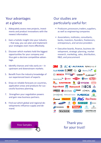## Your advantages at a glance

- 1. Adequately assess new projects, investments and product innovations with the newest information.
- 2. Gain a holistic insight into your industry – that way, you can plan and implement your strategies even more effectively.
- 3. Discover which markets hold the biggest opportunities for your company and thus gain a decisive competitive advantage.
- 4. Identify chances and risks early on  $-$  in upstream and downstream markets.
- 5. Benefit from the industry knowledge of our experienced team of experts
- 6. Draw on reliable forecasts on countries, application areas and products for successful business planning.
- 7. Strengthen your negotiation powers and gain new business partners.
- 8. Find out which global and regional developments influence supply and demand.

# Our studies are particularly useful for:

- Producers, processors, traders, suppliers, as well as engineering companies
- Associations, institutes, consultants, banks, investors, founders, freelancers, entrepeneurs, and service providers
- Executive boards, finance, business development, strategic planning, market research, marketing, sales, distribution, R&D, and procurement



# Thank you for your trust!

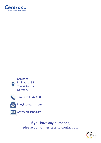





++49 7531 94297 0



info@ceresana.com



[www.ceresana.co](http://www.ceresana.com)m

If you have any questions, please do not hesitate to contact us.